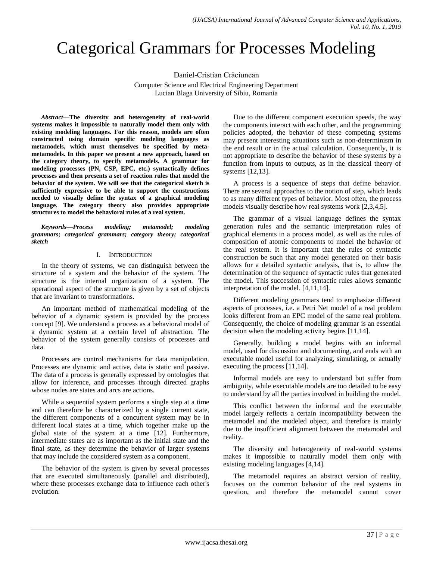# Categorical Grammars for Processes Modeling

Daniel-Cristian Crăciunean Computer Science and Electrical Engineering Department

Lucian Blaga University of Sibiu, Romania

*Abstract***—The diversity and heterogeneity of real-world systems makes it impossible to naturally model them only with existing modeling languages. For this reason, models are often constructed using domain specific modeling languages as metamodels, which must themselves be specified by metametamodels. In this paper we present a new approach, based on the category theory, to specify metamodels. A grammar for modeling processes (PN, CSP, EPC, etc.) syntactically defines processes and then presents a set of reaction rules that model the behavior of the system. We will see that the categorical sketch is sufficiently expressive to be able to support the constructions needed to visually define the syntax of a graphical modeling language. The category theory also provides appropriate structures to model the behavioral rules of a real system.**

*Keywords—Process modeling; metamodel; modeling grammars; categorical grammars; category theory; categorical sketch*

## I. INTRODUCTION

In the theory of systems, we can distinguish between the structure of a system and the behavior of the system. The structure is the internal organization of a system. The operational aspect of the structure is given by a set of objects that are invariant to transformations.

An important method of mathematical modeling of the behavior of a dynamic system is provided by the process concept [9]. We understand a process as a behavioral model of a dynamic system at a certain level of abstraction. The behavior of the system generally consists of processes and data.

Processes are control mechanisms for data manipulation. Processes are dynamic and active, data is static and passive. The data of a process is generally expressed by ontologies that allow for inference, and processes through directed graphs whose nodes are states and arcs are actions.

While a sequential system performs a single step at a time and can therefore be characterized by a single current state, the different components of a concurrent system may be in different local states at a time, which together make up the global state of the system at a time [12]. Furthermore, intermediate states are as important as the initial state and the final state, as they determine the behavior of larger systems that may include the considered system as a component.

The behavior of the system is given by several processes that are executed simultaneously (parallel and distributed), where these processes exchange data to influence each other's evolution.

Due to the different component execution speeds, the way the components interact with each other, and the programming policies adopted, the behavior of these competing systems may present interesting situations such as non-determinism in the end result or in the actual calculation. Consequently, it is not appropriate to describe the behavior of these systems by a function from inputs to outputs, as in the classical theory of systems [12,13].

A process is a sequence of steps that define behavior. There are several approaches to the notion of step, which leads to as many different types of behavior. Most often, the process models visually describe how real systems work [2,3,4,5].

The grammar of a visual language defines the syntax generation rules and the semantic interpretation rules of graphical elements in a process model, as well as the rules of composition of atomic components to model the behavior of the real system. It is important that the rules of syntactic construction be such that any model generated on their basis allows for a detailed syntactic analysis, that is, to allow the determination of the sequence of syntactic rules that generated the model. This succession of syntactic rules allows semantic interpretation of the model. [4,11,14].

Different modeling grammars tend to emphasize different aspects of processes, i.e. a Petri Net model of a real problem looks different from an EPC model of the same real problem. Consequently, the choice of modeling grammar is an essential decision when the modeling activity begins [11,14].

Generally, building a model begins with an informal model, used for discussion and documenting, and ends with an executable model useful for analyzing, simulating, or actually executing the process [11,14].

Informal models are easy to understand but suffer from ambiguity, while executable models are too detailed to be easy to understand by all the parties involved in building the model.

This conflict between the informal and the executable model largely reflects a certain incompatibility between the metamodel and the modeled object, and therefore is mainly due to the insufficient alignment between the metamodel and reality.

The diversity and heterogeneity of real-world systems makes it impossible to naturally model them only with existing modeling languages [4,14].

The metamodel requires an abstract version of reality, focuses on the common behavior of the real systems in question, and therefore the metamodel cannot cover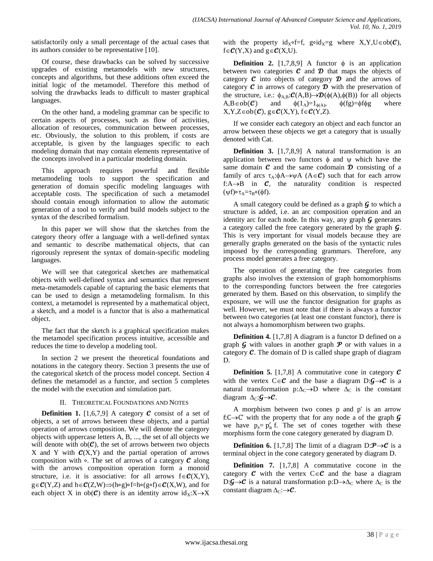satisfactorily only a small percentage of the actual cases that its authors consider to be representative [10].

Of course, these drawbacks can be solved by successive upgrades of existing metamodels with new structures, concepts and algorithms, but these additions often exceed the initial logic of the metamodel. Therefore this method of solving the drawbacks leads to difficult to master graphical languages.

On the other hand, a modeling grammar can be specific to certain aspects of processes, such as flow of activities, allocation of resources, communication between processes, etc. Obviously, the solution to this problem, if costs are acceptable, is given by the languages specific to each modeling domain that may contain elements representative of the concepts involved in a particular modeling domain.

This approach requires powerful and flexible metamodeling tools to support the specification and generation of domain specific modeling languages with acceptable costs. The specification of such a metamodel should contain enough information to allow the automatic generation of a tool to verify and build models subject to the syntax of the described formalism.

In this paper we will show that the sketches from the category theory offer a language with a well-defined syntax and semantic to describe mathematical objects, that can rigorously represent the syntax of domain-specific modeling languages.

We will see that categorical sketches are mathematical objects with well-defined syntax and semantics that represent meta-metamodels capable of capturing the basic elements that can be used to design a metamodeling formalism. In this context, a metamodel is represented by a mathematical object, a sketch, and a model is a functor that is also a mathematical object.

The fact that the sketch is a graphical specification makes the metamodel specification process intuitive, accessible and reduces the time to develop a modeling tool.

In section 2 we present the theoretical foundations and notations in the category theory. Section 3 presents the use of the categorical sketch of the process model concept. Section 4 defines the metamodel as a functor, and section 5 completes the model with the execution and simulation part.

#### II. THEORETICAL FOUNDATIONS AND NOTES

**Definition 1.** [1,6,7,9] A category  $\mathcal{C}$  consist of a set of objects, a set of arrows between these objects, and a partial operation of arrows composition. We will denote the category objects with uppercase letters A, B, ..., the set of all objects we will denote with  $ob(\mathcal{C})$ , the set of arrows between two objects X and Y with  $C(X,Y)$  and the partial operation of arrows composition with ∘. The set of arrows of a category  $\mathcal C$  along with the arrows composition operation form a monoid structure, i.e. it is associative: for all arrows  $f \in \mathcal{C}(X,Y)$ , g∈ $\mathcal{C}(Y,Z)$  and h∈ $\mathcal{C}(Z,W) \implies$ (h∘g)∘f=h∘(g∘f)∈ $\mathcal{C}(X,W)$ , and for each object X in  $ob(\mathcal{C})$  there is an identity arrow  $id_X: X \rightarrow X$  with the property id<sub>x</sub>∘f=f, g∘id<sub>x</sub>=g where X,Y,U∈ob( $C$ ),  $f \in \mathcal{C}(Y,X)$  and  $g \in \mathcal{C}(X,U)$ .

**Definition 2.** [1,7,8,9] A functor  $\phi$  is an application between two categories  $\mathcal C$  and  $\mathcal D$  that maps the objects of category  $\mathcal C$  into objects of category  $\mathcal D$  and the arrows of category  $\mathcal C$  in arrows of category  $\mathcal D$  with the preservation of the structure, i.e.:  $\phi_{A,B} : \mathcal{C}(A,B) \to \mathcal{D}(\phi(A),\phi(B))$  for all objects  $A, B \in ob(\mathcal{C})$  and  $\phi(1_A)=1_{\phi(A)}, \phi(fg)=\phi(f\phi g)$  where  $X, Y, Z \in ob(\mathcal{C})$ ,  $g \in \mathcal{C}(X, Y)$ ,  $f \in \mathcal{C}(Y, Z)$ .

If we consider each category an object and each functor an arrow between these objects we get a category that is usually denoted with Cat.

**Definition 3.** [1,7,8,9] A natural transformation is an application between two functors  $\phi$  and  $\psi$  which have the same domain  $c$  and the same codomain  $\mathcal D$  consisting of a family of arcs  $\tau_A$ : $\phi A \rightarrow \psi A$  (A $\in \mathcal{C}$ ) such that for each arrow f: $A \rightarrow B$  in  $C$ , the naturality condition is respected ( $\psi f$ )∘τ<sub>Α</sub>=τ<sub>R</sub>∘( $\phi f$ ).

A small category could be defined as a graph  $\mathcal G$  to which a structure is added, i.e. an arc composition operation and an identity arc for each node. In this way, any graph  $\mathcal G$  generates a category called the free category generated by the graph  $\mathcal{G}$ . This is very important for visual models because they are generally graphs generated on the basis of the syntactic rules imposed by the corresponding grammars. Therefore, any process model generates a free category.

The operation of generating the free categories from graphs also involves the extension of graph homomorphisms to the corresponding functors between the free categories generated by them. Based on this observation, to simplify the exposure, we will use the functor designation for graphs as well. However, we must note that if there is always a functor between two categories (at least one constant functor), there is not always a homomorphism between two graphs.

**Definition 4.** [1,7,8] A diagram is a functor D defined on a graph  $\mathcal G$  with values in another graph  $\mathcal P$  or with values in a category  $C$ . The domain of D is called shape graph of diagram D.

**Definition 5.** [1,7,8] A commutative cone in category  $\mathcal{C}$ with the vertex  $C \in \mathcal{C}$  and the base a diagram  $D: \mathcal{G} \rightarrow \mathcal{C}$  is a natural transformation  $p:\Delta_C \to D$  where  $\Delta_C$  is the constant diagram  $\Delta_{\rm C}:\mathbf{G}\rightarrow\mathbf{C}$ .

A morphism between two cones p and p' is an arrow f: $C \rightarrow C'$  with the property that for any node a of the graph  $G$ we have  $p_a = p'_a$  f. The set of cones together with these morphisms form the cone category generated by diagram D.

**Definition 6.** [1,7,8] The limit of a diagram  $D: \mathcal{P} \rightarrow \mathcal{C}$  is a terminal object in the cone category generated by diagram D.

**Definition 7.** [1,7,8] A commutative cocone in the category  $\mathcal C$  with the vertex  $C \in \mathcal C$  and the base a diagram D:  $\mathcal{G} \rightarrow \mathcal{C}$  is a natural transformation p: D $\rightarrow \Delta_C$  where  $\Delta_C$  is the constant diagram  $\Delta_{\rm C}$ : $\rightarrow$ C.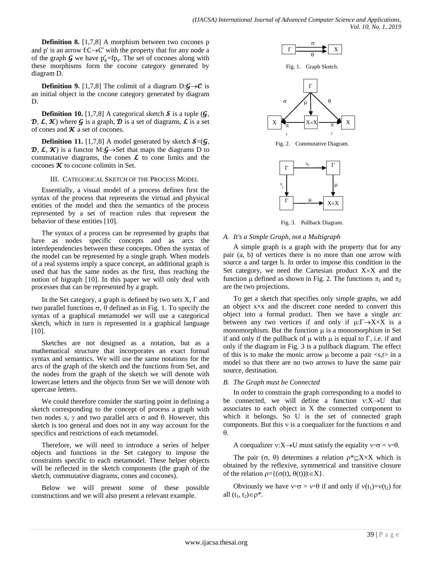**Definition 8.** [1,7,8] A morphism between two cocones p and p' is an arrow f: $C \rightarrow C'$  with the property that for any node a of the graph  $\mathcal G$  we have  $p'_a = fp_a$ . The set of cocones along with these morphisms form the cocone category generated by diagram D.

**Definition 9.** [1,7,8] The colimit of a diagram  $D: \mathcal{G} \rightarrow \mathcal{C}$  is an initial object in the cocone category generated by diagram D.

**Definition 10.** [1,7,8] A categorical sketch  $S$  is a tuple  $(\mathcal{G}, \mathcal{G})$  $\mathcal{D}, \mathcal{L}, \mathcal{K}$ ) where  $\mathcal{G}$  is a graph,  $\mathcal{D}$  is a set of diagrams,  $\mathcal{L}$  is a set of cones and  $\kappa$  a set of cocones.

**Definition 11.** [1,7,8] A model generated by sketch  $S=(\mathcal{G}, \mathcal{G})$ **D**,  $\mathcal{L}, \mathcal{K}$  is a functor M: $\mathcal{G} \rightarrow$  Set that maps the diagrams D to commutative diagrams, the cones  $\mathcal L$  to cone limits and the cocones  $\kappa$  to cocone colimits in Set.

#### III. CATEGORICAL SKETCH OF THE PROCESS MODEL

Essentially, a visual model of a process defines first the syntax of the process that represents the virtual and physical entities of the model and then the semantics of the process represented by a set of reaction rules that represent the behavior of these entities [10].

The syntax of a process can be represented by graphs that have as nodes specific concepts and as arcs the interdependencies between these concepts. Often the syntax of the model can be represented by a single graph. When models of a real systems imply a space concept, an additional graph is used that has the same nodes as the first, thus reaching the notion of bigraph [10]. In this paper we will only deal with processes that can be represented by a graph.

In the Set category, a graph is defined by two sets  $X, \Gamma$  and two parallel functions  $\sigma$ ,  $\theta$  defined as in Fig. 1. To specify the syntax of a graphical metamodel we will use a categorical sketch, which in turn is represented in a graphical language [10].

Sketches are not designed as a notation, but as a mathematical structure that incorporates an exact formal syntax and semantics. We will use the same notations for the arcs of the graph of the sketch and the functions from Set, and the nodes from the graph of the sketch we will denote with lowercase letters and the objects from Set we will denote with upercase letters.

We could therefore consider the starting point in defining a sketch corresponding to the concept of process a graph with two nodes x,  $\gamma$  and two parallel arcs  $\sigma$  and  $\theta$ . However, this sketch is too general and does not in any way account for the specifics and restrictions of each metamodel.

Therefore, we will need to introduce a series of helper objects and functions in the Set category to impose the constraints specific to each metamodel. These helper objects will be reflected in the sketch components (the graph of the sketch, commutative diagrams, cones and cocones).

Below we will present some of these possible constructions and we will also present a relevant example.







Fig. 2. Commutative Diagram.



Fig. 3. Pullback Diagram.

## *A. It's a Simple Graph, not a Multigraph*

A simple graph is a graph with the property that for any pair (a, b) of vertices there is no more than one arrow with source a and target b. In order to impose this condition in the Set category, we need the Cartesian product  $X \times X$  and the function  $\mu$  defined as shown in Fig. 2. The functions  $\pi_1$  and  $\pi_2$ are the two projections.

To get a sketch that specifies only simple graphs, we add an object x×x and the discreet cone needed to convert this object into a formal product. Then we have a single arc between any two vertices if and only if  $\mu:\Gamma \rightarrow X \times X$  is a monomorphism. But the function  $\mu$  is a monomorphism in Set if and only if the pullback of  $\mu$  with  $\mu$  is equal to  $\Gamma$ , i.e. if and only if the diagram in Fig. 3 is a pullback diagram. The effect of this is to make the monic arrow  $\mu$  become a pair  $\langle s, t \rangle$  in a model so that there are no two arrows to have the same pair source, destination.

## *B. The Graph must be Connected*

In order to constrain the graph corresponding to a model to be connected, we will define a function  $v:X\rightarrow U$  that associates to each object in X the connected component to which it belongs. So U is the set of connected graph components. But this  $v$  is a coequalizer for the functions  $\sigma$  and  $\theta$ .

A coequalizer  $v: X \rightarrow U$  must satisfy the equality  $v \circ \sigma = v \circ \theta$ .

The pair  $(\sigma, \theta)$  determines a relation  $\rho^* \subset X \times X$  which is obtained by the reflexive, symmetrical and transitive closure of the relation  $\rho = \{(\sigma(t), \theta(t)) | t \in X\}.$ 

Obviously we have  $v \circ \sigma = v \circ \theta$  if and only if  $v(t_1)=v(t_2)$  for all  $(t_1, t_2) \in \rho^*$ .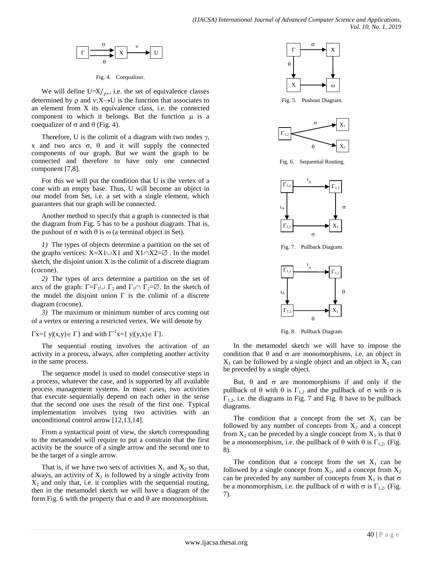$$
\begin{array}{|c|c|c|}\n\hline\n\text{r} & \text{r} \\
\hline\n\theta & \text{r}\n\end{array}
$$

Fig. 4. Coequalizer.

We will define U= $X/\psi$ , i.e. the set of equivalence classes determined by  $\rho$  and  $v:X\rightarrow U$  is the function that associates to an element from X its equivalence class, i.e. the connected component to which it belongs. But the function  $\mu$  is a coequalizer of  $\sigma$  and  $\theta$  (Fig. 4).

Therefore, U is the colimit of a diagram with two nodes  $\gamma$ , x and two arcs  $\sigma$ ,  $\theta$  and it will supply the connected components of our graph. But we want the graph to be connected and therefore to have only one connected component [7,8].

For this we will put the condition that U is the vertex of a cone with an empty base. Thus, U will become an object in our model from Set, i.e. a set with a single element, which guarantees that our graph will be connected.

Another method to specify that a graph is connected is that the diagram from Fig. 5 has to be a pushout diagram. That is, the pushout of  $\sigma$  with  $\theta$  is  $\omega$  (a terminal object in Set).

*1)* The types of objects determine a partition on the set of the graphs vertices:  $X=X1\cup X1$  and  $X1\cap X2=\emptyset$ . In the model sketch, the disjoint union X is the colimit of a discrete diagram (cocone).

*2)* The types of arcs determine a partition on the set of arcs of the graph:  $\Gamma = \Gamma_1 \cup \Gamma_2$  and  $\Gamma_1 \cap \Gamma_2 = \emptyset$ . In the sketch of the model the disjoint union  $\Gamma$  is the colimit of a discrete diagram (cocone).

*3)* The maximum or minimum number of arcs coming out of a vertex or entering a restricted vertex. We will denote by

 $\Gamma$ x={ y|(x,y)  $\in \Gamma$ } and with  $\Gamma^{-1}$ x={ y|(y,x)  $\in \Gamma$ }.

The sequential routing involves the activation of an activity in a process, always, after completing another activity in the same process.

The sequence model is used to model consecutive steps in a process, whatever the case, and is supported by all available process management systems. In most cases, two activities that execute sequentially depend on each other in the sense that the second one uses the result of the first one. Typical implementation involves tying two activities with an unconditional control arrow [12,13,14].

From a syntactical point of view, the sketch corresponding to the metamodel will require to put a constrain that the first activity be the source of a single arrow and the second one to be the target of a single arrow.

That is, if we have two sets of activities  $X_1$  and  $X_2$  so that, always, an activity of  $X_1$  is followed by a single activity from  $X_2$  and only that, i.e. it complies with the sequential routing, then in the metamodel sketch we will have a diagram of the form Fig. 6 with the property that  $\sigma$  and  $\theta$  are monomorphism.



Fig. 5. Pushout Diagram.



Fig. 6. Sequential Routing.



Fig. 7. Pullback Diagram.



Fig. 8. Pullback Diagram.

In the metamodel sketch we will have to impose the condition that  $\theta$  and  $\sigma$  are monomorphisms, i.e. an object in  $X_1$  can be followed by a single object and an object in  $X_2$  can be preceded by a single object.

But,  $\theta$  and  $\sigma$  are monomorphisms if and only if the pullback of  $\theta$  with  $\theta$  is  $\Gamma_{1,2}$  and the pullback of  $\sigma$  with  $\sigma$  is  $\Gamma_{1,2}$ , i.e. the diagrams in Fig. 7 and Fig. 8 have to be pullback diagrams.

The condition that a concept from the set  $X_1$  can be followed by any number of concepts from  $X_2$  and a concept from  $X_2$  can be preceded by a single concept from  $X_1$  is that  $\theta$ be a monomorphism, i.e. the pullback of  $\theta$  with  $\theta$  is  $\Gamma_{1,2}$ . (Fig. 8).

The condition that a concept from the set  $X_1$  can be followed by a single concept from  $X_2$ , and a concept from  $X_2$ can be preceded by any number of concepts from  $X_1$  is that  $\sigma$ be a monomorphism, i.e. the pullback of  $\sigma$  with  $\sigma$  is  $\Gamma_{1,2}$ . (Fig. 7).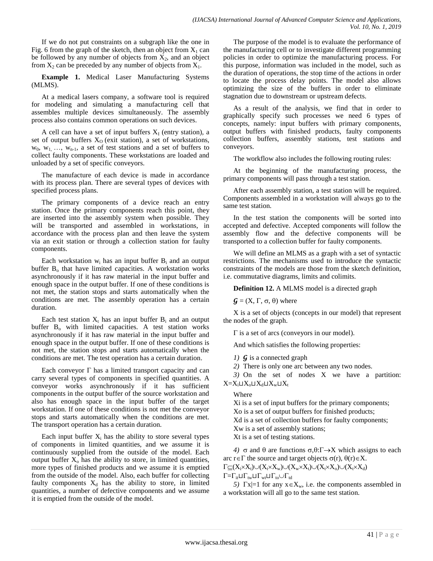If we do not put constraints on a subgraph like the one in Fig. 6 from the graph of the sketch, then an object from  $X_1$  can be followed by any number of objects from  $X_2$ , and an object from  $X_2$  can be preceded by any number of objects from  $X_1$ .

**Example 1.** Medical Laser Manufacturing Systems (MLMS).

At a medical lasers company, a software tool is required for modeling and simulating a manufacturing cell that assembles multiple devices simultaneously. The assembly process also contains common operations on such devices.

A cell can have a set of input buffers  $X_I$  (entry station), a set of output buffers  $X<sub>0</sub>$  (exit station), a set of workstations,  $w_0$ ,  $w_1$ , ...,  $w_{n-1}$ , a set of test stations and a set of buffers to collect faulty components. These workstations are loaded and unloaded by a set of specific conveyors.

The manufacture of each device is made in accordance with its process plan. There are several types of devices with specified process plans.

The primary components of a device reach an entry station. Once the primary components reach this point, they are inserted into the assembly system when possible. They will be transported and assembled in workstations, in accordance with the process plan and then leave the system via an exit station or through a collection station for faulty components.

Each workstation  $w_i$  has an input buffer  $B_i$  and an output buffer  $B_0$  that have limited capacities. A workstation works asynchronously if it has raw material in the input buffer and enough space in the output buffer. If one of these conditions is not met, the station stops and starts automatically when the conditions are met. The assembly operation has a certain duration.

Each test station  $X_t$  has an input buffer  $B_i$  and an output buffer  $B_0$  with limited capacities. A test station works asynchronously if it has raw material in the input buffer and enough space in the output buffer. If one of these conditions is not met, the station stops and starts automatically when the conditions are met. The test operation has a certain duration.

Each conveyor  $\Gamma$  has a limited transport capacity and can carry several types of components in specified quantities. A conveyor works asynchronously if it has sufficient components in the output buffer of the source workstation and also has enough space in the input buffer of the target workstation. If one of these conditions is not met the conveyor stops and starts automatically when the conditions are met. The transport operation has a certain duration.

Each input buffer  $X_i$  has the ability to store several types of components in limited quantities, and we assume it is continuously supplied from the outside of the model. Each output buffer  $X_0$  has the ability to store, in limited quantities, more types of finished products and we assume it is emptied from the outside of the model. Also, each buffer for collecting faulty components  $X_d$  has the ability to store, in limited quantities, a number of defective components and we assume it is emptied from the outside of the model.

The purpose of the model is to evaluate the performance of the manufacturing cell or to investigate different programming policies in order to optimize the manufacturing process. For this purpose, information was included in the model, such as the duration of operations, the stop time of the actions in order to locate the process delay points. The model also allows optimizing the size of the buffers in order to eliminate stagnation due to downstream or upstream defects.

As a result of the analysis, we find that in order to graphically specify such processes we need 6 types of concepts, namely: input buffers with primary components, output buffers with finished products, faulty components collection buffers, assembly stations, test stations and conveyors.

The workflow also includes the following routing rules:

At the beginning of the manufacturing process, the primary components will pass through a test station.

After each assembly station, a test station will be required. Components assembled in a workstation will always go to the same test station.

In the test station the components will be sorted into accepted and defective. Accepted components will follow the assembly flow and the defective components will be transported to a collection buffer for faulty components.

We will define an MLMS as a graph with a set of syntactic restrictions. The mechanisms used to introduce the syntactic constraints of the models are those from the sketch definition, i.e. commutative diagrams, limits and colimits.

**Definition 12.** A MLMS model is a directed graph

 $\mathbf{G} = (X, \Gamma, \sigma, \theta)$  where

X is a set of objects (concepts in our model) that represent the nodes of the graph.

 $\Gamma$  is a set of arcs (conveyors in our model).

And which satisfies the following properties:

*1)*  $\boldsymbol{G}$  is a connected graph

*2)* There is only one arc between any two nodes.

*3)* On the set of nodes X we have a partition:  $X=X_i\sqcup X_o\sqcup X_d\sqcup X_w\sqcup X_t$ 

## Where

Xi is a set of input buffers for the primary components; Xo is a set of output buffers for finished products; Xd is a set of collection buffers for faulty components; Xw is a set of assembly stations; Xt is a set of testing stations.

*4*)  $\sigma$  and  $\theta$  are functions  $\sigma$ , $\theta$ : $\Gamma \rightarrow X$  which assigns to each arc r  $\in$  T the source and target objects  $\sigma$ (r),  $\theta$ (r) $\in$ X.  $\Gamma \subseteq (X_i \times X_t) \cup (X_t \times X_w) \cup (X_w \times X_t) \cup (X_t \times X_o) \cup (X_t \times X_d)$  $\Gamma = \Gamma_{it} \sqcup \Gamma_{tw} \sqcup \Gamma_{wt} \sqcup \Gamma_{to} \cup \Gamma_{td}$ 

*5)*  $\Gamma$ x|=1 for any  $x \in X_w$ , i.e. the components assembled in a workstation will all go to the same test station.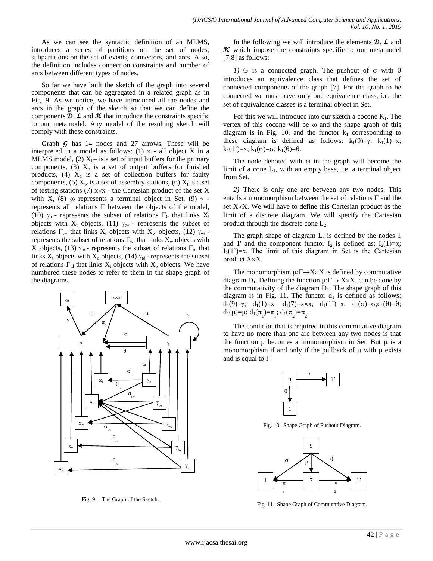As we can see the syntactic definition of an MLMS, introduces a series of partitions on the set of nodes, subpartitions on the set of events, connectors, and arcs. Also, the definition includes connection constraints and number of arcs between different types of nodes.

So far we have built the sketch of the graph into several components that can be aggregated in a related graph as in Fig. 9. As we notice, we have introduced all the nodes and arcs in the graph of the sketch so that we can define the components  $\mathcal{D}, \mathcal{L}$  and  $\mathcal{K}$  that introduce the constraints specific to our metamodel. Any model of the resulting sketch will comply with these constraints.

Graph  $\mathcal G$  has 14 nodes and 27 arrows. These will be interpreted in a model as follows:  $(1)$  x - all object X in a MLMS model, (2)  $X_i$  – is a set of input buffers for the primary components, (3)  $X_0$  is a set of output buffers for finished products,  $(4)$   $X_d$  is a set of collection buffers for faulty components, (5)  $X_w$  is a set of assembly stations, (6)  $X_t$  is a set of testing stations  $(7)$  x×x - the Cartesian product of the set X with X, (8)  $\omega$  represents a terminal object in Set, (9)  $\gamma$  represents all relations  $\Gamma$  between the objects of the model, (10)  $\gamma_{it}$  - represents the subset of relations  $\Gamma_{it}$  that links  $X_i$ objects with  $X_t$  objects, (11)  $\gamma_{tw}$  - represents the subset of relations  $\Gamma_{\text{tw}}$  that links  $X_t$  objects with  $X_w$  objects, (12)  $\gamma_{wt}$  represents the subset of relations  $\Gamma_{wt}$  that links  $X_w$  objects with  $X_t$  objects, (13)  $\gamma_{\text{to}}$  - represents the subset of relations  $\Gamma_{\text{to}}$  that links  $X_t$  objects with  $X_0$  objects, (14)  $\gamma_{td}$  - represents the subset of relations  $\Gamma_{td}$  that links  $X_t$  objects with  $X_0$  objects. We have numbered these nodes to refer to them in the shape graph of the diagrams.



Fig. 9. The Graph of the Sketch.

In the following we will introduce the elements  $\mathcal{D}, \mathcal{L}$  and  $\mathcal K$  which impose the constraints specific to our metamodel [7,8] as follows:

*1)* G is a connected graph. The pushout of  $\sigma$  with  $\theta$ introduces an equivalence class that defines the set of connected components of the graph [7]. For the graph to be connected we must have only one equivalence class, i.e. the set of equivalence classes is a terminal object in Set.

For this we will introduce into our sketch a cocone  $K_1$ . The vertex of this cocone will be  $\omega$  and the shape graph of this diagram is in Fig. 10. and the functor  $k_1$  corresponding to these diagram is defined as follows:  $k_1(9)=\gamma$ ;  $k_1(1)=x$ ;  $k_1(1^{\prime})=x; k_1(\sigma)=\sigma; k_1(\theta)=\theta.$ 

The node denoted with  $\omega$  in the graph will become the limit of a cone  $L_1$ , with an empty base, i.e. a terminal object from Set.

*2)* There is only one arc between any two nodes. This entails a monomorphism between the set of relations  $\Gamma$  and the set  $X \times X$ . We will have to define this Cartesian product as the limit of a discrete diagram. We will specify the Cartesian product through the discrete cone  $L_2$ .

The graph shape of diagram  $L_2$  is defined by the nodes 1 and 1' and the component functor  $I_2$  is defined as:  $I_2(1)=x$ ;  $I_2(1^{\prime})=x$ . The limit of this diagram in Set is the Cartesian product  $X \times X$ .

The monomorphism  $\mu: \Gamma \rightarrow X \times X$  is defined by commutative diagram  $D_1$ . Defining the function  $\mu: \Gamma \rightarrow X \times X$ , can be done by the commutativity of the diagram  $D_1$ . The shape graph of this diagram is in Fig. 11. The functor  $d_1$  is defined as follows:  $d_1(9)=\gamma$ ;  $d_1(1)=x$ ;  $d_1(7)=x\times x$ ;  $d_1(1)=x$ ;  $d_1(\sigma)=\sigma; d_1(\theta)=\theta$ ;  $d_1(\mu)=\mu; d_1(\pi_1)=\pi_1; d_1(\pi_2)=\pi_2.$ 

The condition that is required in this commutative diagram to have no more than one arc between any two nodes is that the function  $\mu$  becomes a monomorphism in Set. But  $\mu$  is a monomorphism if and only if the pullback of  $\mu$  with  $\mu$  exists and is equal to  $\Gamma$ .



Fig. 10. Shape Graph of Pushout Diagram.



Fig. 11. Shape Graph of Commutative Diagram.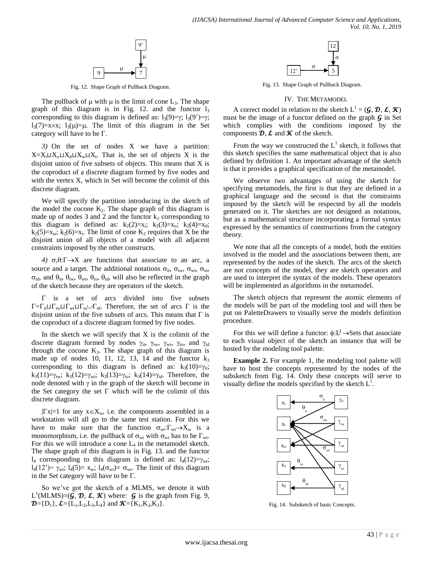

Fig. 12. Shape Graph of Pullback Diagram.

The pullback of  $\mu$  with  $\mu$  is the limit of cone  $L_3$ . The shape graph of this diagram is in Fig. 12. and the functor  $l_3$ corresponding to this diagram is defined as:  $l_3(9)=\gamma$ ;  $l_3(9')=\gamma$ ;  $l_3(7)=x\times x$ ;  $l_3(\mu)=\mu$ . The limit of this diagram in the Set category will have to be  $\Gamma$ .

*3)* On the set of nodes X we have a partition:  $X=X_i\sqcup X_0\sqcup X_d\sqcup X_w\sqcup X_t$ . That is, the set of objects X is the disjoint union of five subsets of objects. This means that X is the coproduct of a discrete diagram formed by five nodes and with the vertex X, which in Set will become the colimit of this discrete diagram.

We will specify the partition introducing in the sketch of the model the cocone  $K_2$ . The shape graph of this diagram is made up of nodes 3 and 2 and the functor  $k_2$  corresponding to this diagram is defined as:  $k_2(2)=x_i$ ;  $k_2(3)=x_0$ ;  $k_2(4)=x_d$ ;  $k_2(5)=x_w$ ;  $k_2(6)=x_t$ . The limit of cone  $K_2$  requires that X be the disjoint union of all objects of a model with all adjacent constraints imposed by the other constructs.

*4)*  $\sigma, \theta: \Gamma \rightarrow X$  are functions that associate to an arc, a source and a target. The additional notations  $\sigma_{it}$ ,  $\sigma_{tw}$ ,  $\sigma_{wt}$ ,  $\sigma_{to}$ ,  $\sigma_{td}$ , and  $\theta_{it}$ ,  $\theta_{tw}$ ,  $\theta_{wt}$ ,  $\theta_{to}$ ,  $\theta_{td}$ , will also be reflected in the graph of the sketch because they are operators of the sketch.

 $\Gamma$  is a set of arcs divided into five subsets  $\Gamma = \Gamma_{it} \sqcup \Gamma_{tw} \sqcup \Gamma_{wt} \sqcup \Gamma_{to} \cup \Gamma_{td}$ . Therefore, the set of arcs  $\Gamma$  is the disjoint union of the five subsets of arcs. This means that  $\Gamma$  is the coproduct of a discrete diagram formed by five nodes.

In the sketch we will specify that  $X$  is the colimit of the discrete diagram formed by nodes  $\gamma_{it}$ ,  $\gamma_{tw}$ ,  $\gamma_{wt}$ ,  $\gamma_{to}$ , and  $\gamma_{td}$ through the cocone  $K_3$ . The shape graph of this diagram is made up of nodes 10, 11, 12, 13, 14 and the functor  $k_3$ corresponding to this diagram is defined as:  $k_3(10)=\gamma_{ii}$ ;  $k_3(11)=\gamma_{\text{tw}}$ ;  $k_3(12)=\gamma_{\text{wt}}$ ;  $k_3(13)=\gamma_{\text{to}}$ ;  $k_3(14)=\gamma_{\text{td}}$ . Therefore, the node denoted with  $\gamma$  in the graph of the sketch will become in the Set category the set  $\Gamma$  which will be the colimit of this discrete diagram.

 $|\Gamma x|=1$  for any  $x \in X_w$ , i.e. the components assembled in a workstation will all go to the same test station. For this we have to make sure that the function  $\sigma_{wt}:\Gamma_{wt}\to X_w$  is a monomorphism, i.e. the pullback of  $\sigma_{wt}$  with  $\sigma_{wt}$  has to be  $\Gamma_{wt}$ . For this we will introduce a cone  $L_4$  in the metamodel sketch. The shape graph of this diagram is in Fig. 13. and the functor  $l_4$  corresponding to this diagram is defined as:  $l_4(12)=\gamma_{\rm wt}$ ;  $l_4(12^{\degree}) = \gamma_{wt}$ ;  $l_4(5) = x_w$ ;  $l_4(\sigma_{wt}) = \sigma_{wt}$ . The limit of this diagram in the Set category will have to be  $\Gamma$ .

So we've got the sketch of a MLMS, we denote it with  $L^1(MLMS)=(\tilde{g}, \mathcal{D}, \mathcal{L}, \mathcal{K})$  where:  $g$  is the graph from Fig. 9,  $\mathbf{D} = {\{\mathbf{D}_1\}}, \mathbf{L} = {\{\mathbf{L}_1,\mathbf{L}_2,\mathbf{L}_3,\mathbf{L}_4\}}$  and  $\mathbf{K} = {\{\mathbf{K}_1,\mathbf{K}_2,\mathbf{K}_3\}}$ .



Fig. 13. Shape Graph of Pullback Diagram.

#### IV. THE METAMODEL

A correct model in relation to the sketch  $L^1 = (G, \mathcal{D}, \mathcal{L}, \mathcal{K})$ must be the image of a functor defined on the graph  $\mathcal G$  in Set which complies with the conditions imposed by the components  $\mathcal{D}, \mathcal{L}$  and  $\mathcal{K}$  of the sketch.

From the way we constructed the  $L^1$  sketch, it follows that this sketch specifies the same mathematical object that is also defined by definition 1. An important advantage of the sketch is that it provides a graphical specification of the metamodel.

We observe two advantages of using the sketch for specifying metamodels, the first is that they are defined in a graphical language and the second is that the constraints imposed by the sketch will be respected by all the models generated on it. The sketches are not designed as notations, but as a mathematical structure incorporating a formal syntax expressed by the semantics of constructions from the category theory.

We note that all the concepts of a model, both the entities involved in the model and the associations between them, are represented by the nodes of the sketch. The arcs of the sketch are not concepts of the model, they are sketch operators and are used to interpret the syntax of the models. These operators will be implemented as algorithms in the metamodel.

The sketch objects that represent the atomic elements of the models will be part of the modeling tool and will then be put on PaletteDrawers to visually serve the models definition procedure.

For this we will define a functor:  $\phi: L^1 \rightarrow$ Sets that associate to each visual object of the sketch an instance that will be hosted by the modeling tool palette.

**Example 2.** For example 1, the modeling tool palette will have to host the concepts represented by the nodes of the subsketch from Fig. 14. Only these concepts will serve to visually define the models specified by the sketch  $L^1$ .



Fig. 14. Subsketch of basic Concepts.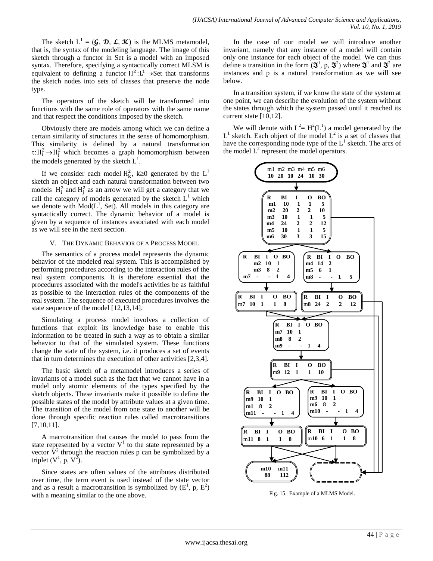The sketch  $L^1 = (G, \mathcal{D}, \mathcal{L}, \mathcal{K})$  is the MLMS metamodel, that is, the syntax of the modeling language. The image of this sketch through a functor in Set is a model with an imposed syntax. Therefore, specifying a syntactically correct MLSM is equivalent to defining a functor  $H^2: L^1 \rightarrow Set$  that transforms the sketch nodes into sets of classes that preserve the node type.

The operators of the sketch will be transformed into functions with the same role of operators with the same name and that respect the conditions imposed by the sketch.

Obviously there are models among which we can define a certain similarity of structures in the sense of homomorphism. This similarity is defined by a natural transformation  $\tau: H_i^2 \to H_i^2$  which becomes a graph homomorphism between the models generated by the sketch  $L^1$ .

If we consider each model  $H_k^2$ ,  $k \ge 0$  generated by the  $L^1$ sketch an object and each natural transformation between two models  $H_i^2$  and  $H_i^2$  as an arrow we will get a category that we call the category of models generated by the sketch  $L<sup>1</sup>$  which we denote with  $Mod(L^1, Set)$ . All models in this category are syntactically correct. The dynamic behavior of a model is given by a sequence of instances associated with each model as we will see in the next section.

#### V. THE DYNAMIC BEHAVIOR OF A PROCESS MODEL

The semantics of a process model represents the dynamic behavior of the modeled real system. This is accomplished by performing procedures according to the interaction rules of the real system components. It is therefore essential that the procedures associated with the model's activities be as faithful as possible to the interaction rules of the components of the real system. The sequence of executed procedures involves the state sequence of the model [12,13,14].

Simulating a process model involves a collection of functions that exploit its knowledge base to enable this information to be treated in such a way as to obtain a similar behavior to that of the simulated system. These functions change the state of the system, i.e. it produces a set of events that in turn determines the execution of other activities [2,3,4].

The basic sketch of a metamodel introduces a series of invariants of a model such as the fact that we cannot have in a model only atomic elements of the types specified by the sketch objects. These invariants make it possible to define the possible states of the model by attribute values at a given time. The transition of the model from one state to another will be done through specific reaction rules called macrotransitions [7,10,11].

A macrotransition that causes the model to pass from the state represented by a vector  $V^1$  to the state represented by a vector  $\dot{V}^2$  through the reaction rules p can be symbolized by a triplet  $(V^1, p, V^2)$ .

Since states are often values of the attributes distributed over time, the term event is used instead of the state vector and as a result a macrotransition is symbolized by  $(E^1, p, E^2)$ with a meaning similar to the one above.

In the case of our model we will introduce another invariant, namely that any instance of a model will contain only one instance for each object of the model. We can thus define a transition in the form  $(\mathfrak{F}^1, p, \mathfrak{F}^2)$  where  $\mathfrak{F}^1$  and  $\mathfrak{F}^2$  are instances and p is a natural transformation as we will see below.

In a transition system, if we know the state of the system at one point, we can describe the evolution of the system without the states through which the system passed until it reached its current state [10,12].

We will denote with  $L^2 = H^2(L^1)$  a model generated by the  $L<sup>1</sup>$  sketch. Each object of the model  $L<sup>2</sup>$  is a set of classes that have the corresponding node type of the  $L^1$  sketch. The arcs of the model  $L^2$  represent the model operators.



Fig. 15. Example of a MLMS Model.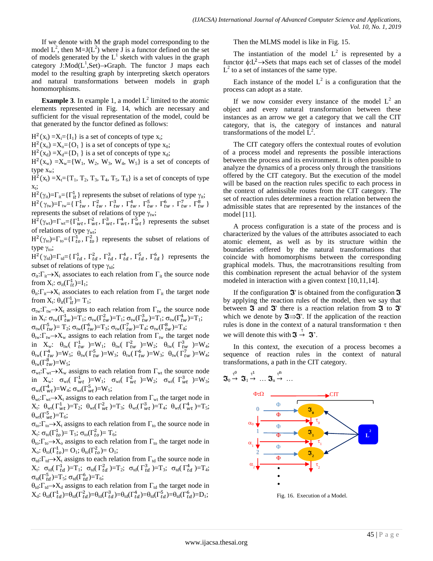If we denote with M the graph model corresponding to the model  $L^2$ , then M=J( $L^2$ ) where  $\overline{J}$  is a functor defined on the set of models generated by the  $L^1$  sketch with values in the graph category  $J:Mod(L^1, Set) \rightarrow Graph$ . The functor J maps each model to the resulting graph by interpreting sketch operators and natural transformations between models in graph homomorphisms.

**Example 3.** In example 1, a model  $L^2$  limited to the atomic elements represented in Fig. 14, which are necessary and sufficient for the visual representation of the model, could be that generated by the functor defined as follows:

 $H^2(x_i) = X_i = \{I_1\}$  is a set of concepts of type  $x_i$ ;

 $H^2(x_0) = X_0 = \{O_1\}$  is a set of concepts of type  $x_0$ ;

 $H^2(x_d) = X_d = \{D_1\}$  is a set of concepts of type  $x_d$ ;

 $H<sup>2</sup>(x<sub>w</sub>) = X<sub>w</sub> = {W<sub>1</sub>, W<sub>2</sub>, W<sub>3</sub>, W<sub>4</sub>, W<sub>5</sub>}$  is a set of concepts of type  $x_w$ ;

 $H^{2}(x_{t}) = X_{t} = \{T_{1}, T_{2}, T_{3}, T_{4}, T_{5}, T_{6}\}$  is a set of concepts of type  $x_t$ ;

 $H^2(\gamma_{it}) = \Gamma_{it} = {\Gamma_{it}^1}$  represents the subset of relations of type  $\gamma_{it}$ ;

 $H^2(\gamma_{\text{tw}})=\Gamma_{\text{tw}}=\{ \Gamma_{tw}^1, \Gamma_{tw}^2, \Gamma_{tw}^3, \Gamma_{tw}^4, \Gamma_{tw}^5, \Gamma_{tw}^6, \Gamma_{tw}^7, \Gamma_{tw}^7, \Gamma_{tw}^8 \}$ represents the subset of relations of type  $\gamma_{\text{tw}}$ ;

 $H^2(\gamma_{wt}) = \Gamma_{wt} = {\Gamma_{wt}^1, \Gamma_{wt}^2, \Gamma_{wt}^3, \Gamma_{wt}^4, \Gamma_{wt}^5}$  represents the subset of relations of type  $\gamma_{\rm wt}$ ;

 $H^2(\gamma_{\text{to}})=\Gamma_{\text{to}}=\{\Gamma_{\text{to}}^1,\Gamma_{\text{to}}^2\}$  represents the subset of relations of type  $\gamma_{\text{to}}$ ;

 $H^2(\gamma_{td}) = \Gamma_{td} = {\Gamma_{td}^1, \Gamma_{td}^2, \Gamma_{td}^3, \Gamma_{td}^4, \Gamma_{td}^5, \Gamma_{td}^6}$  represents the subset of relations of type  $\gamma_{td}$ ;

 $\sigma_{it}:\Gamma_{it} \to X_i$  associates to each relation from  $\Gamma_{it}$  the source node from  $X_i$ :  $\sigma_{it}(\Gamma^1_{it}) = I_1$ ;

 $\theta_{it}:\Gamma_{it} \rightarrow X_t$  associates to each relation from  $\Gamma_{it}$  the target node from  $X_t$ :  $\theta_{it}(\Gamma^1_{it}) = T_1$ ;

 $\sigma_{\text{tw}}:\Gamma_{\text{tw}}\to X_t$  assigns to each relation from  $\Gamma_{\text{tw}}$  the source node in  $X_t$ :  $\sigma_{tw}(\Gamma^1_{tw}) = T_1$ ;  $\sigma_{tw}(\Gamma^2_{tw}) = T_1$ ;  $\sigma_{tw}(\Gamma^3_{tw}) = T_1$ ;  $\sigma_{tw}(\Gamma^4_{tw}) = T_1$ ;  $\sigma_{\text{tw}}(\Gamma^5_{tw}) = \text{T}_2$ ;  $\sigma_{\text{tw}}(\Gamma^6_{tw}) = \text{T}_3$ ;  $\sigma_{\text{tw}}(\Gamma^7_{tw}) = \text{T}_4$ ;  $\sigma_{\text{tw}}(\Gamma^8_{tw}) = \text{T}_4$ ;

 $\theta_{\text{tw}}:\Gamma_{\text{tw}}\to X_{\text{w}}$  assigns to each relation from  $\Gamma_{\text{tw}}$  the target node in  $X_w$ :  $\theta_{tw}$   $\Gamma^1_{tw}$   $\right) = W_1$ ;  $\theta_{tw}$   $\Gamma^2_{tw}$   $\right) = W_2$ ;  $\theta_{tw}$   $\Gamma^3_{tw}$   $\right) = W_4$ ;  $\theta_{\text{tw}}(\Gamma^4_{tw})=W_5; \ \theta_{\text{tw}}(\Gamma^5_{tw})=W_3; \ \theta_{\text{tw}}(\Gamma^6_{tw})=W_3; \ \theta_{\text{tw}}(\Gamma^7_{tw})=W_4;$  $\theta_{\text{tw}}(\Gamma^8_{\text{tw}})=W_5;$ 

 $\sigma_{\rm wt}:\Gamma_{\rm wt} \to X_{\rm w}$  assigns to each relation from  $\Gamma_{\rm wt}$  the source node in  $X_w$ :  $\sigma_{wt}(\Gamma_{wt}^1) = W_1$ ;  $\sigma_{wt}(\Gamma_{wt}^2) = W_2$ ;  $\sigma_{wt}(\Gamma_{wt}^3) = W_3$ ;  $\sigma_{\rm wt}(\Gamma^4_{wt})=W_4$ ;  $\sigma_{\rm wt}(\Gamma^5_{wt})=W_5$ ;

 $\theta_{\rm wt}: \Gamma_{\rm wt} \rightarrow X_t$  assigns to each relation from  $\Gamma_{\rm wt}$  the target node in  $X_t$ :  $\theta_{wt}(\Gamma_{wt}^1) = T_2$ ;  $\theta_{wt}(\Gamma_{wt}^2) = T_3$ ;  $\theta_{wt}(\Gamma_{wt}^3) = T_4$ ;  $\theta_{wt}(\Gamma_{wt}^4) = T_5$ ;  $\theta_{\rm wt}(\Gamma_{wt}^5)=T_6;$ 

 $\sigma_{\text{to}}:\Gamma_{\text{to}}\to X_t$  assigns to each relation from  $\Gamma_{\text{to}}$  the source node in  $X_t$ : σ<sub>to</sub>(Γ<sup>1</sup><sub>to</sub>)= T<sub>5</sub>; σ<sub>to</sub>(Γ<sup>2</sup><sub>to</sub>)= T<sub>6</sub>;

 $\theta_{\text{to}}:\Gamma_{\text{to}} \to X_{\text{o}}$  assigns to each relation from  $\Gamma_{\text{to}}$  the target node in  $X_o: \theta_{to}(\Gamma_{to}^1) = O_1; \theta_{to}(\Gamma_{to}^2) = O_1;$ 

 $\sigma_{td}:\Gamma_{td}\rightarrow X_t$  assigns to each relation from  $\Gamma_{td}$  the source node in  $X_t$ :  $\sigma_{td}(\Gamma^1_{td}) = T_1$ ;  $\sigma_{td}(\Gamma^2_{td}) = T_2$ ;  $\sigma_{td}(\Gamma^3_{td}) = T_3$ ;  $\sigma_{td}(\Gamma^4_{td}) = T_4$ ;  $\sigma_{\text{td}}(\Gamma_{td}^5) = T_5$ ;  $\sigma_{\text{td}}(\Gamma_{td}^6) = T_6$ ;

 $\theta_{td}$ : $\Gamma_{td} \rightarrow X_d$  assigns to each relation from  $\Gamma_{td}$  the target node in  $X_d$ :  $\theta_{\text{td}}(\Gamma^1_{td}) = \theta_{\text{td}}(\Gamma^2_{td}) = \theta_{\text{td}}(\Gamma^3_{td}) = \theta_{\text{td}}(\Gamma^4_{td}) = \theta_{\text{td}}(\Gamma^5_{td}) = \theta_{\text{td}}(\Gamma^6_{td}) = D_1$ ;

Then the MLMS model is like in Fig. 15.

The instantiation of the model  $L^2$  is represented by a functor  $\phi: L^2 \to \mathbf{Sets}$  that maps each set of classes of the model  $L^2$  to a set of instances of the same type.

Each instance of the model  $L^2$  is a configuration that the process can adopt as a state.

If we now consider every instance of the model  $L^2$  an object and every natural transformation between these instances as an arrow we get a category that we call the CIT category, that is, the category of instances and natural transformations of the model  $\mathbf{L}^2$ .

The CIT category offers the contextual routes of evolution of a process model and represents the possible interactions between the process and its environment. It is often possible to analyze the dynamics of a process only through the transitions offered by the CIT category. But the execution of the model will be based on the reaction rules specific to each process in the context of admissible routes from the CIT category. The set of reaction rules determines a reaction relation between the admissible states that are represented by the instances of the model [11].

A process configuration is a state of the process and is characterized by the values of the attributes associated to each atomic element, as well as by its structure within the boundaries offered by the natural transformations that coincide with homomorphisms between the corresponding graphical models. Thus, the macrotransitions resulting from this combination represent the actual behavior of the system modeled in interaction with a given context [10,11,14].

If the configuration  $\mathfrak{F}'$  is obtained from the configuration  $\mathfrak{F}$ by applying the reaction rules of the model, then we say that between  $\mathfrak F$  and  $\mathfrak F'$  there is a reaction relation from  $\mathfrak F$  to  $\mathfrak F'$ which we denote by  $\mathfrak{S} \rightarrow \mathfrak{S}'$ . If the application of the reaction rules is done in the context of a natural transformation  $\tau$  then we will denote this with  $\mathfrak{J} \stackrel{\tau}{\rightarrow} \mathfrak{J}'$ .

In this context, the execution of a process becomes a sequence of reaction rules in the context of natural transformations, a path in the CIT category.

$$
\boldsymbol{\mathfrak{J}}_0 \overset{\tau^0}{\rightarrow} \ \boldsymbol{\mathfrak{J}}_1 \overset{\tau^1}{\rightarrow} \ \ldots \ \boldsymbol{\mathfrak{J}}_n \overset{\tau^n}{\rightarrow} \ \ldots
$$



Fig. 16. Execution of a Model.